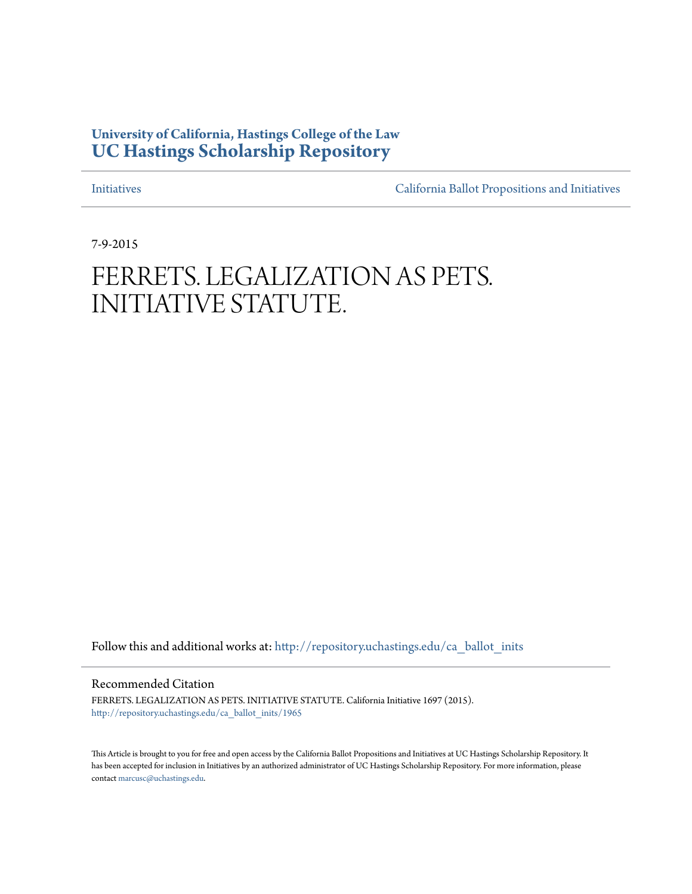## **University of California, Hastings College of the Law [UC Hastings Scholarship Repository](http://repository.uchastings.edu?utm_source=repository.uchastings.edu%2Fca_ballot_inits%2F1965&utm_medium=PDF&utm_campaign=PDFCoverPages)**

[Initiatives](http://repository.uchastings.edu/ca_ballot_inits?utm_source=repository.uchastings.edu%2Fca_ballot_inits%2F1965&utm_medium=PDF&utm_campaign=PDFCoverPages) [California Ballot Propositions and Initiatives](http://repository.uchastings.edu/ca_ballots?utm_source=repository.uchastings.edu%2Fca_ballot_inits%2F1965&utm_medium=PDF&utm_campaign=PDFCoverPages)

7-9-2015

# FERRETS. LEGALIZATION AS PETS. INITIATIVE STATUTE.

Follow this and additional works at: [http://repository.uchastings.edu/ca\\_ballot\\_inits](http://repository.uchastings.edu/ca_ballot_inits?utm_source=repository.uchastings.edu%2Fca_ballot_inits%2F1965&utm_medium=PDF&utm_campaign=PDFCoverPages)

Recommended Citation

FERRETS. LEGALIZATION AS PETS. INITIATIVE STATUTE. California Initiative 1697 (2015). [http://repository.uchastings.edu/ca\\_ballot\\_inits/1965](http://repository.uchastings.edu/ca_ballot_inits/1965?utm_source=repository.uchastings.edu%2Fca_ballot_inits%2F1965&utm_medium=PDF&utm_campaign=PDFCoverPages)

This Article is brought to you for free and open access by the California Ballot Propositions and Initiatives at UC Hastings Scholarship Repository. It has been accepted for inclusion in Initiatives by an authorized administrator of UC Hastings Scholarship Repository. For more information, please contact [marcusc@uchastings.edu](mailto:marcusc@uchastings.edu).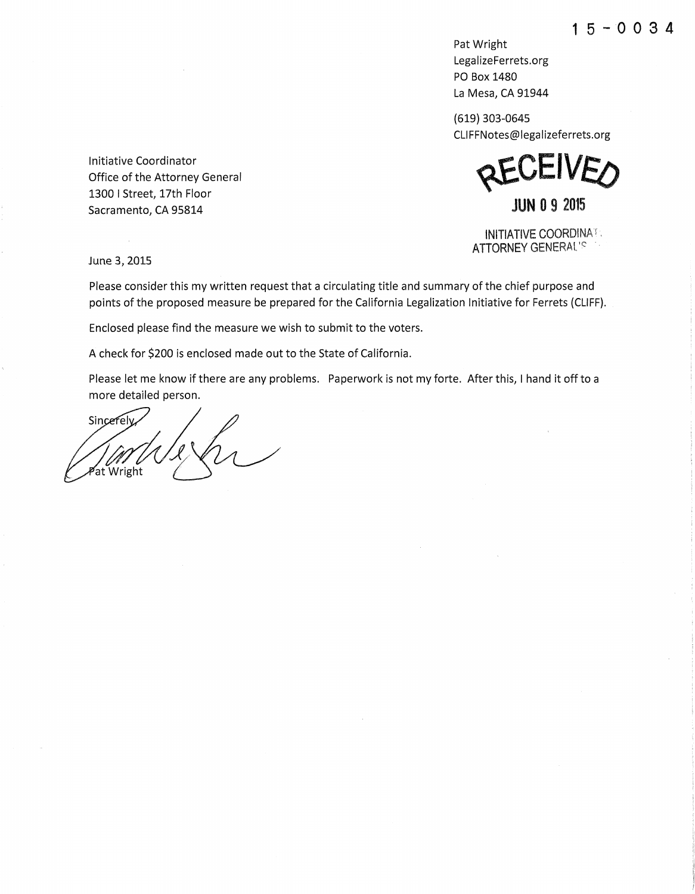**1** 5 - **0 0 3 4** 

Pat Wright LegalizeFerrets.org PO Box 1480 La Mesa, CA 91944

(619) 303-0645 CLIFFNotes@legalizeferrets.org

**AFLIND JUN 0 9 2015** 

INITIATIVE COORDINAi . ATTORNEY GENERAL'S

Initiative Coordinator Office of the Attorney General 1300 I Street, 17th Floor Sacramento, CA 95814

June 3, 2015

Please consider this my written request that a circulating title and summary of the chief purpose and points of the proposed measure be prepared for the California Legalization Initiative for Ferrets (CLIFF).

Enclosed please find the measure we wish to submit to the voters.

A check for \$200 is enclosed made out to the State of California.

Please let me know if there are any problems. Paperwork is not my forte. After this, I hand it off to a more detailed person.

Sincerely at Wright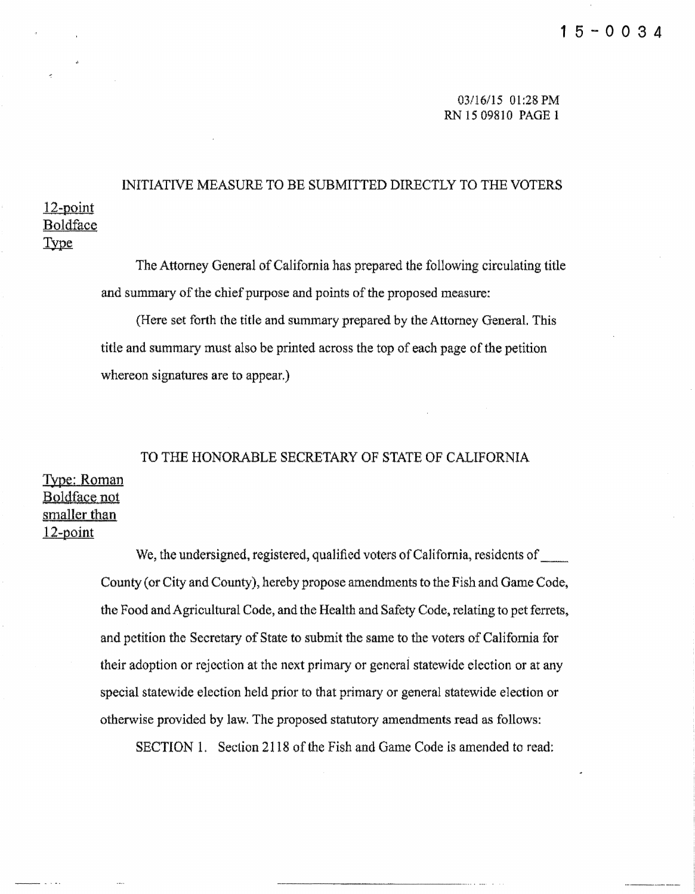03116/15 01:28PM RN 15 09810 PAGE 1

# 12-point Boldface INITIATIVE MEASURE TO BE SUBMITTED DIRECTLY TO THE VOTERS

Type

**Contract** 

The Attorney General of California has prepared the following circulating title and summary of the chief purpose and points of the proposed measure:

(Here set forth the title and summary prepared by the Attorney General. This tide and summary must also be printed across the top of each page of the petition whereon signatures are to appear.)

## TO THE HONORABLE SECRETARY OF STATE OF CALIFORNIA Type: Roman Boldface not smaller than 12-point

We, the undersigned, registered, qualified voters of California, residents of County (or City and County), hereby propose amendments to the Fish and Game Code. the Food and Agricultural Code, and the Health and Safety Code, relating to pet ferrets, and petition the Secretary of State to submit the same to the voters of California for their adoption or rejection at the next primary or general statewide election or at any special statewide election held prior to that primary or general statewide election or otherwise provided by law. The proposed statutory amendments read as follows:

SECTION 1. Section 2118 of the Fish and Game Code is amended to read: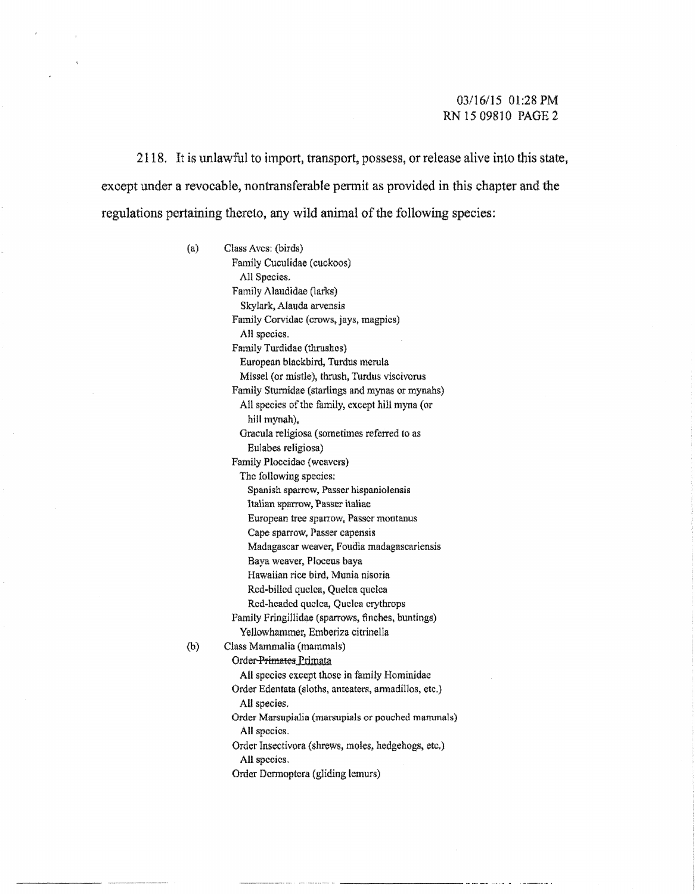#### 03/16/15 01:28PM RN 15 09810 PAGE 2

2118. It is unlawful to import, transport, possess, or release alive into this state, except under a revocable, nontransferable pennit as provided in this chapter and the regulations pertaining thereto, any wild animal of the following species:

> (a) Class Aves: (birds) Family Cuculidae (cuckoos) All Species. Family Alaudidae (larks) Skylark, Alauda arvensis Family Corvidac (crows, jays, magpies) All species. Family Turdidae (thrushes) European blackbird, Turdus merula Missel {or mistle), thrush, Turdus viscivorus Family Sturnidae (starlings and mynas or mynahs) All species of the family, except hill myna (or hill mynah), Oracula religiosa (sometimes referred to as Eulabes religiosa) Family Ploccidac {weavers) The following species: Spanish sparrow, Passer hispaniolensis Italian sparrow, Passer italiae European tree sparrow, Passer montanus Cape sparrow, Passer capensis Madagascar weaver, Foudia madagascariensis Baya weaver. Ploceus baya Hawaiian rice bird, Munia nisoria Red-billed quelea, Quelca quelca Rod-headed quclca, Quclca crytbrops Family Fringillidae (sparrows, finches, buntings) Yellowhanuner, Emberiza citrinella (b) Class Mammalia (mammals) Order-Primates Primata AU species except those in family Hominidae Order Edentata (sloths, anteaters, annadillos, etc.) All species, Order Marsupialia (marsupials or pouched mammals) All species. Order Insectivora {shrews, moles, hedgehogs, etc.) All species. Order Dennoptera (gliding lemurs)

> > ~-----·--- .... -............ -------------........ . ...-...... .

-------··---·---··· .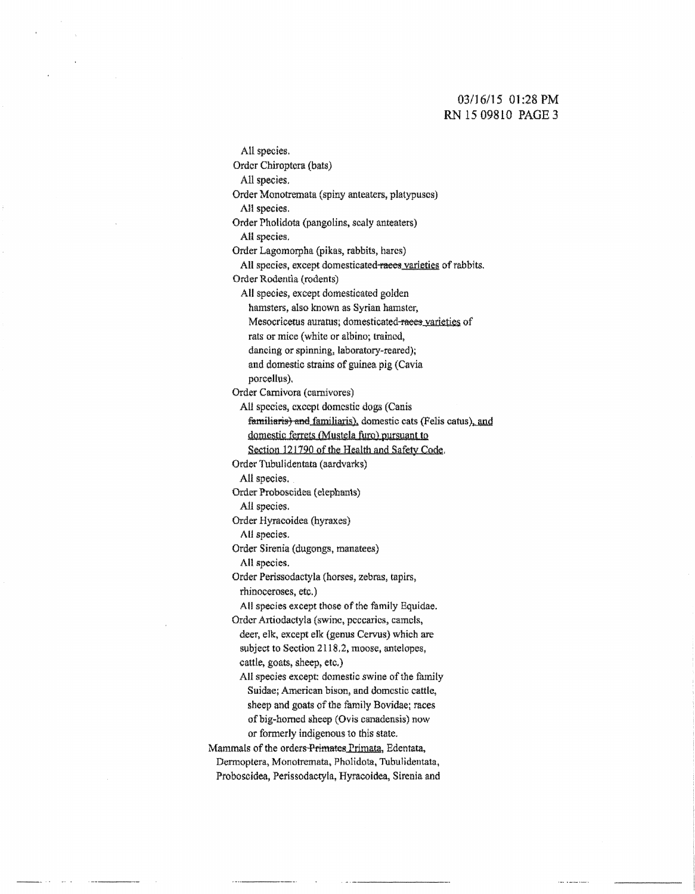#### 03116/15 01:28PM RN 15 09810 PAGE 3

All species. Order Chiroptcra (bats) All species. Order Monotremata (spiny anteaters, platypuses) All species. Order Pholidota (pangolins, scaly anteaters) All species. Order Lagomorpha (pikas, rabbits, hares) All species, except domesticated-races varieties of rabbits. Order Rodentia (rodents) All species, except domesticated golden hamsters, also known as Syrian hamster, Mesocricetus auratus; domesticated-races varieties of rats or mice (white or albino; trained, dancing or spinning, laboratory-reared); and domestic strains of guinea pig (Cavia porcellus). Order Carnivora (carnivores) All species, except domestic dogs (Canis familiaris) and familiaris), domestic cats (Felis catus), and domestic ferrets (Mustela furo) pursuant to Section 121720 of the Health and Safety Code. Order Tubulidentata (aardvarks) All species. Order Proboscidea (elephants) AU species. Order Hyracoidea (hyraxes) AU species. Order Sirenia (dugongs, manatees} All specie&. Order Perissodactyla (horses, zebras, tapirs, rhinoceroses, etc.) All species except those of the family Equidae. Order Artiodactyla (swine, peccaries, camels, deer, elk, except elk (genus Cervus) which are subject to Section 2118,2, moose, antelopes, cattle, goats, sheep, etc.) All species except: domestic swine of the family Suidae; American bison, and domestic cattle, sheep and goats of the family Bovidae; races of big-horned sheep (Ovis canadensis) now or formerly indigenous to this state. Mammals of the orders Primates Primata, Edentata, Dennoptera, Monotremata, Pholidota, Tubulidentata, Proboscidea, Perissodactyla, Hyracoidea, Sirenia and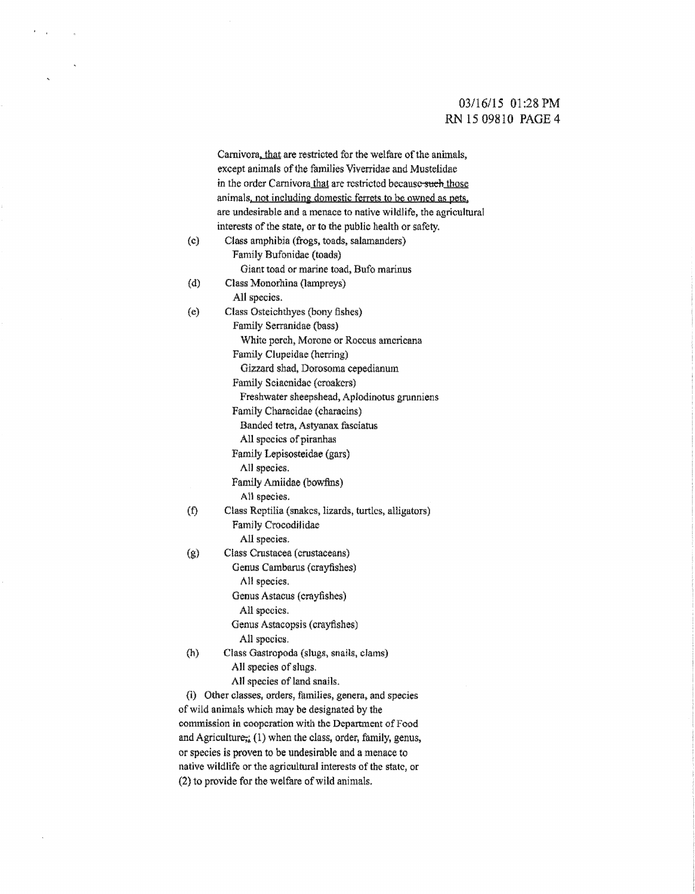## 03/16/15 01:28 PM RN 15 09810 PAGE 4

|                   | Carnivora, that are restricted for the welfare of the animals,    |
|-------------------|-------------------------------------------------------------------|
|                   | except animals of the families Viverridae and Mustelidae          |
|                   | in the order Carnivora that are restricted because-such those     |
|                   | animals, not including domestic ferrets to be owned as pets,      |
|                   | are undesirable and a menace to native wildlife, the agricultural |
|                   | interests of the state, or to the public health or safety.        |
| $\left( c\right)$ | Class amphibia (frogs, toads, salamanders)                        |
|                   | Family Bufonidae (toads)                                          |
|                   | Giant toad or marine toad, Bufo marinus                           |
| (d)               | Class Monorhina (lampreys)                                        |
|                   | All species.                                                      |
| (e)               | Class Osteichthyes (bony fishes)                                  |
|                   | Family Serranidae (bass)                                          |
|                   | White perch, Morone or Roccus americana                           |
|                   | Family Clupeidae (herring)                                        |
|                   | Gizzard shad, Dorosoma cepedianum                                 |
|                   | Family Sciaenidae (croakers)                                      |
|                   | Freshwater sheepshead, Aplodinotus grunniens                      |
|                   | Family Characidae (characins)                                     |
|                   | Banded tetra, Astyanax fasciatus                                  |
|                   | All species of piranhas                                           |
|                   | Family Lepisosteidae (gars)                                       |
|                   | All species.                                                      |
|                   | Family Amiidae (bowfins)                                          |
|                   | All species.                                                      |
| (f)               | Class Reptilia (snakes, lizards, turtles, alligators)             |
|                   | Family Crocodilidae                                               |
|                   | All species.                                                      |
| $\left( g\right)$ | Class Crustacea (crustaceans)                                     |
|                   | Genus Cambarus (crayfishes)                                       |
|                   | All species.                                                      |
|                   | Genus Astacus (crayfishes)                                        |
|                   | All species.                                                      |
|                   | Genus Astacopsis (crayfishes)                                     |
|                   | All species.                                                      |
| (h)               | Class Gastropoda (slugs, snails, clams)                           |
|                   | All species of slugs.                                             |
|                   | All species of land snails.                                       |
|                   | (i) Other classes, orders, families, genera, and species          |
|                   | of wild animals which may be designated by the                    |
|                   | commission in cooperation with the Department of Food             |
|                   | and Agriculture; (1) when the class, order, family, genus,        |
|                   | or species is proven to be undesirable and a menace to            |

 $\mathbf{r} = \mathbf{r}_0$  .

 $\ddot{\phantom{a}}$ 

 $\sim$   $\alpha$ 

native wildlife or the agricultural interests of the state, or (2) to provide for the welfare of wild animals.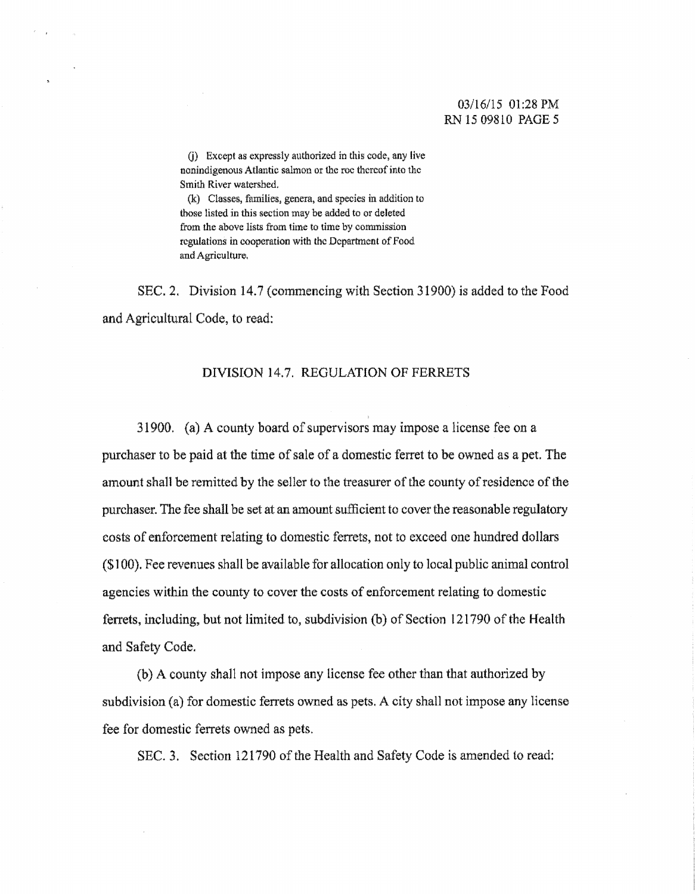#### 03/16/15 01:28PM RN 15 09810 PAGE 5

(j) Except as expressly authorized in this code, any live nonindigenous Atlantic salmon or the roc thereof into the Smith River watershed.

(k) Classes, families, genera, and species in addition to those listed in this section may be added to or deleted from the above lists from time to time by commission regulations in cooperation with the Department of Food and Agriculture.

SEC. 2. Division 14.7 (commencing with Section 31900) is added to the Food and Agricultural Code, to read:

#### DIVISION 14.7. REGULATION OF FERRETS

31900. (a) A county board of supervisors may impose a license fee on a purchaser to be paid at the time of sale of a domestic ferret to be owned as a pet. The amount shall be remitted by the seller to the treasurer of the county of residence of the purchaser. The fee shall be set at an amount sufficient to cover the reasonable regulatory eosts of enforcement relating to domestic ferrets, not to exceed one hundred dollars (\$1 00). Fee revenues shall be available for allocation only to local public animal control agencies within the county to cover the costs of enforcement relating to domestic ferrets, including, but not limited to, subdivision (b) of Section 121790 of the Health and Safety Code.

(b) A county shall not impose any license fee other than that authorized by subdivision (a) for domestic ferrets owned as pets. A city shall not impose any license fee for domestic ferrets owned as pets.

SEC. 3. Section 121790 of the Health and Safety Code is amended to read:

 $\sim$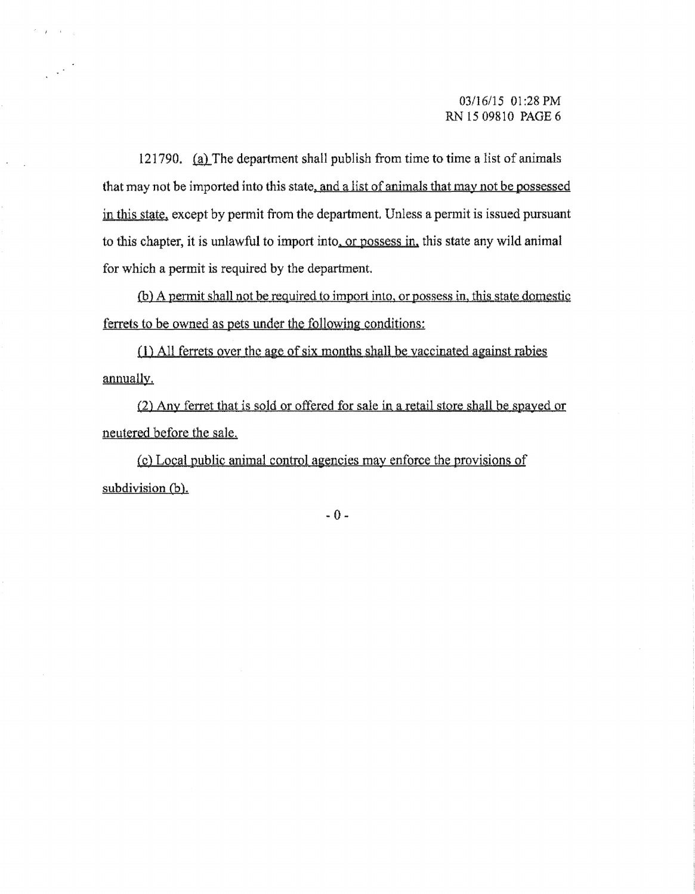121790. (a) The department shall publish from time to time a list of animals that may not be imported into this state, and a list of animals that may not be possessed in this state, except by permit from the department. Unless a permit is issued pursuant to this chapter, it is unlawful to import into, or possess in, this state any wild animal for which a permit is required by the department.

 $\mathcal{F}=\mathcal{F}^{\mathcal{F}}$  ,

 $\mathcal{L}^{(1)}$ 

(b) A permit shall not be required to import into, or possess in, this state domestic ferrets to be owned as pets under the following conditions:

(1) All ferrets over the age of six months shall be vaccinated against rabies annually.

(2) Any ferret that is sold or offered for sale in a retail store shall be spayed or. neutered before the sale.

(c) Local public animal control agencies may enforce the provisions of subdivision (b).

 $-0-$